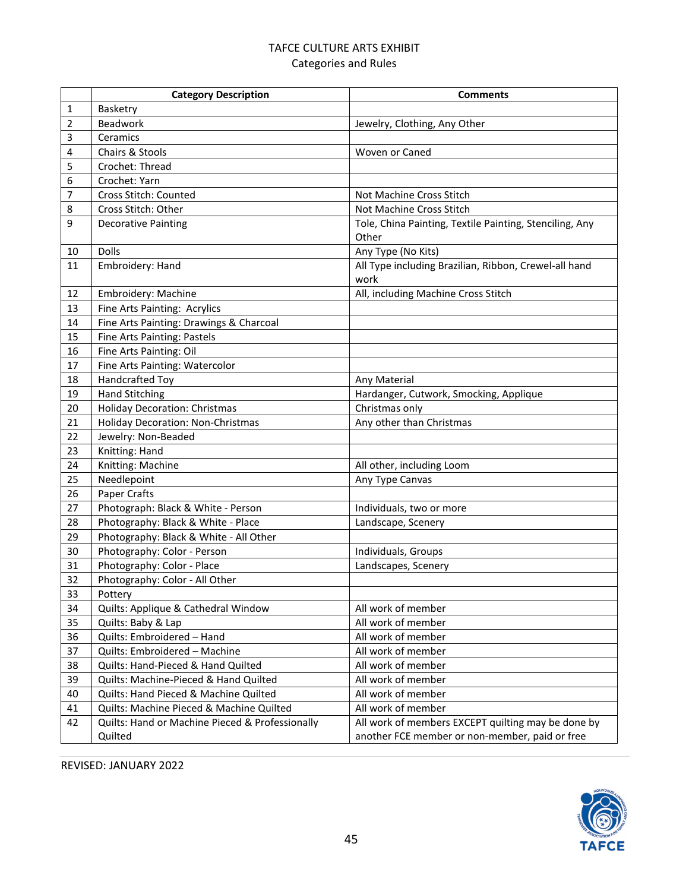### TAFCE CULTURE ARTS EXHIBIT Categories and Rules

|    | <b>Category Description</b>                                | <b>Comments</b>                                                                                      |
|----|------------------------------------------------------------|------------------------------------------------------------------------------------------------------|
| 1  | Basketry                                                   |                                                                                                      |
| 2  | Beadwork                                                   | Jewelry, Clothing, Any Other                                                                         |
| 3  | Ceramics                                                   |                                                                                                      |
| 4  | Chairs & Stools                                            | Woven or Caned                                                                                       |
| 5  | Crochet: Thread                                            |                                                                                                      |
| 6  | Crochet: Yarn                                              |                                                                                                      |
| 7  | Cross Stitch: Counted                                      | Not Machine Cross Stitch                                                                             |
| 8  | Cross Stitch: Other                                        | Not Machine Cross Stitch                                                                             |
| 9  | <b>Decorative Painting</b>                                 | Tole, China Painting, Textile Painting, Stenciling, Any<br>Other                                     |
| 10 | Dolls                                                      | Any Type (No Kits)                                                                                   |
| 11 | Embroidery: Hand                                           | All Type including Brazilian, Ribbon, Crewel-all hand<br>work                                        |
| 12 | Embroidery: Machine                                        | All, including Machine Cross Stitch                                                                  |
| 13 | Fine Arts Painting: Acrylics                               |                                                                                                      |
| 14 | Fine Arts Painting: Drawings & Charcoal                    |                                                                                                      |
| 15 | Fine Arts Painting: Pastels                                |                                                                                                      |
| 16 | Fine Arts Painting: Oil                                    |                                                                                                      |
| 17 | Fine Arts Painting: Watercolor                             |                                                                                                      |
| 18 | Handcrafted Toy                                            | Any Material                                                                                         |
| 19 | <b>Hand Stitching</b>                                      | Hardanger, Cutwork, Smocking, Applique                                                               |
| 20 | <b>Holiday Decoration: Christmas</b>                       | Christmas only                                                                                       |
| 21 | <b>Holiday Decoration: Non-Christmas</b>                   | Any other than Christmas                                                                             |
| 22 | Jewelry: Non-Beaded                                        |                                                                                                      |
| 23 | Knitting: Hand                                             |                                                                                                      |
| 24 | Knitting: Machine                                          | All other, including Loom                                                                            |
| 25 | Needlepoint                                                | Any Type Canvas                                                                                      |
| 26 | Paper Crafts                                               |                                                                                                      |
| 27 | Photograph: Black & White - Person                         | Individuals, two or more                                                                             |
| 28 | Photography: Black & White - Place                         | Landscape, Scenery                                                                                   |
| 29 | Photography: Black & White - All Other                     |                                                                                                      |
| 30 | Photography: Color - Person                                | Individuals, Groups                                                                                  |
| 31 | Photography: Color - Place                                 | Landscapes, Scenery                                                                                  |
| 32 | Photography: Color - All Other                             |                                                                                                      |
| 33 | Pottery                                                    |                                                                                                      |
| 34 | Quilts: Applique & Cathedral Window                        | All work of member                                                                                   |
| 35 | Quilts: Baby & Lap                                         | All work of member                                                                                   |
| 36 | Quilts: Embroidered - Hand                                 | All work of member                                                                                   |
| 37 | Quilts: Embroidered - Machine                              | All work of member                                                                                   |
| 38 | Quilts: Hand-Pieced & Hand Quilted                         | All work of member                                                                                   |
| 39 | Quilts: Machine-Pieced & Hand Quilted                      | All work of member                                                                                   |
| 40 | Quilts: Hand Pieced & Machine Quilted                      | All work of member                                                                                   |
| 41 | Quilts: Machine Pieced & Machine Quilted                   | All work of member                                                                                   |
| 42 | Quilts: Hand or Machine Pieced & Professionally<br>Quilted | All work of members EXCEPT quilting may be done by<br>another FCE member or non-member, paid or free |

REVISED: JANUARY 2022

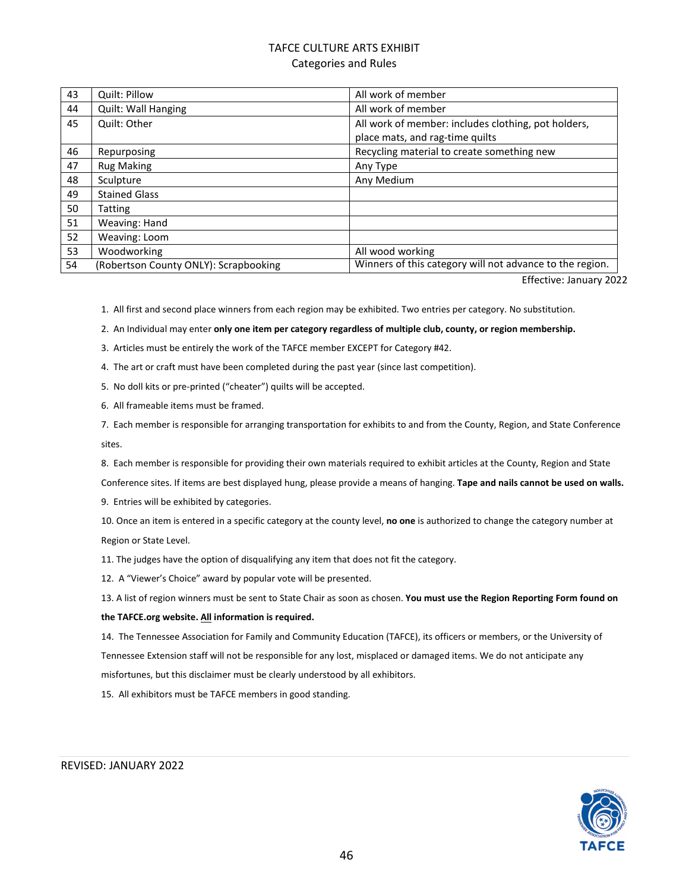### TAFCE CULTURE ARTS EXHIBIT Categories and Rules

| 43 | Quilt: Pillow                         | All work of member                                       |
|----|---------------------------------------|----------------------------------------------------------|
| 44 | Quilt: Wall Hanging                   | All work of member                                       |
| 45 | Quilt: Other                          | All work of member: includes clothing, pot holders,      |
|    |                                       | place mats, and rag-time quilts                          |
| 46 | Repurposing                           | Recycling material to create something new               |
| 47 | <b>Rug Making</b>                     | Any Type                                                 |
| 48 | Sculpture                             | Any Medium                                               |
| 49 | <b>Stained Glass</b>                  |                                                          |
| 50 | Tatting                               |                                                          |
| 51 | Weaving: Hand                         |                                                          |
| 52 | Weaving: Loom                         |                                                          |
| 53 | Woodworking                           | All wood working                                         |
| 54 | (Robertson County ONLY): Scrapbooking | Winners of this category will not advance to the region. |

Effective: January 2022

1. All first and second place winners from each region may be exhibited. Two entries per category. No substitution.

2. An Individual may enter **only one item per category regardless of multiple club, county, or region membership.**

3. Articles must be entirely the work of the TAFCE member EXCEPT for Category #42.

4. The art or craft must have been completed during the past year (since last competition).

5. No doll kits or pre-printed ("cheater") quilts will be accepted.

6. All frameable items must be framed.

7. Each member is responsible for arranging transportation for exhibits to and from the County, Region, and State Conference sites.

8. Each member is responsible for providing their own materials required to exhibit articles at the County, Region and State

Conference sites. If items are best displayed hung, please provide a means of hanging. **Tape and nails cannot be used on walls.**

9. Entries will be exhibited by categories.

10. Once an item is entered in a specific category at the county level, **no one** is authorized to change the category number at Region or State Level.

11. The judges have the option of disqualifying any item that does not fit the category.

12. A "Viewer's Choice" award by popular vote will be presented.

13. A list of region winners must be sent to State Chair as soon as chosen. **You must use the Region Reporting Form found on**

#### **the TAFCE.org website. All information is required.**

14. The Tennessee Association for Family and Community Education (TAFCE), its officers or members, or the University of Tennessee Extension staff will not be responsible for any lost, misplaced or damaged items. We do not anticipate any misfortunes, but this disclaimer must be clearly understood by all exhibitors.

15. All exhibitors must be TAFCE members in good standing.

#### REVISED: JANUARY 2022